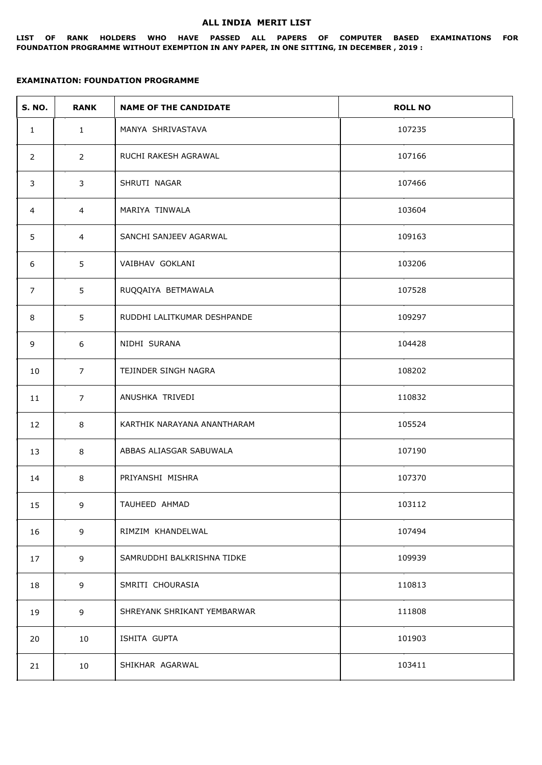#### **ALL INDIA MERIT LIST**

**LIST OF RANK HOLDERS WHO HAVE PASSED ALL PAPERS OF COMPUTER BASED EXAMINATIONS FOR FOUNDATION PROGRAMME WITHOUT EXEMPTION IN ANY PAPER, IN ONE SITTING, IN DECEMBER , 2019 :**

| <b>S. NO.</b>  | <b>RANK</b>     | <b>NAME OF THE CANDIDATE</b> | <b>ROLL NO</b> |
|----------------|-----------------|------------------------------|----------------|
| $\mathbf{1}$   | $\mathbf{1}$    | MANYA SHRIVASTAVA            | 107235         |
| 2              | $2^{\circ}$     | RUCHI RAKESH AGRAWAL         | 107166         |
| 3              | 3               | SHRUTI NAGAR                 | 107466         |
| $\overline{4}$ | $\overline{4}$  | MARIYA TINWALA               | 103604         |
| 5              | 4               | SANCHI SANJEEV AGARWAL       | 109163         |
| 6              | 5               | VAIBHAV GOKLANI              | 103206         |
| $\overline{7}$ | 5               | RUQQAIYA BETMAWALA           | 107528         |
| 8              | 5               | RUDDHI LALITKUMAR DESHPANDE  | 109297         |
| 9              | 6               | NIDHI SURANA                 | 104428         |
| 10             | $\overline{7}$  | TEJINDER SINGH NAGRA         | 108202         |
| 11             | $\overline{7}$  | ANUSHKA TRIVEDI              | 110832         |
| 12             | 8               | KARTHIK NARAYANA ANANTHARAM  | 105524         |
| 13             | 8               | ABBAS ALIASGAR SABUWALA      | 107190         |
| 14             | 8               | PRIYANSHI MISHRA             | 107370         |
| 15             | 9               | TAUHEED AHMAD                | 103112         |
| 16             | 9               | RIMZIM KHANDELWAL            | 107494         |
| 17             | 9               | SAMRUDDHI BALKRISHNA TIDKE   | 109939         |
| 18             | 9               | SMRITI CHOURASIA             | 110813         |
| 19             | 9               | SHREYANK SHRIKANT YEMBARWAR  | 111808         |
| 20             | 10              | ISHITA GUPTA                 | 101903         |
| 21             | 10 <sub>1</sub> | SHIKHAR AGARWAL              | 103411         |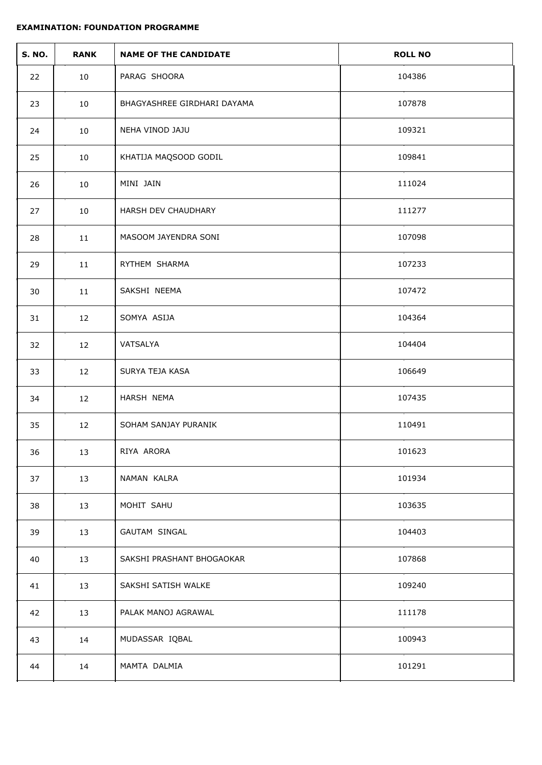| <b>S. NO.</b> | <b>RANK</b> | <b>NAME OF THE CANDIDATE</b> | <b>ROLL NO</b> |
|---------------|-------------|------------------------------|----------------|
| 22            | 10          | PARAG SHOORA                 | 104386         |
| 23            | 10          | BHAGYASHREE GIRDHARI DAYAMA  | 107878         |
| 24            | 10          | NEHA VINOD JAJU              | 109321         |
| 25            | 10          | KHATIJA MAQSOOD GODIL        | 109841         |
| 26            | 10          | MINI JAIN                    | 111024         |
| 27            | 10          | HARSH DEV CHAUDHARY          | 111277         |
| 28            | 11          | MASOOM JAYENDRA SONI         | 107098         |
| 29            | 11          | RYTHEM SHARMA                | 107233         |
| 30            | 11          | SAKSHI NEEMA                 | 107472         |
| 31            | 12          | SOMYA ASIJA                  | 104364         |
| 32            | 12          | VATSALYA                     | 104404         |
| 33            | 12          | SURYA TEJA KASA              | 106649         |
| 34            | 12          | HARSH NEMA                   | 107435         |
| 35            | 12          | SOHAM SANJAY PURANIK         | 110491         |
| 36            | 13          | RIYA ARORA                   | 101623         |
| 37            | 13          | NAMAN KALRA                  | 101934         |
| 38            | 13          | MOHIT SAHU                   | 103635         |
| 39            | 13          | GAUTAM SINGAL                | 104403         |
| 40            | 13          | SAKSHI PRASHANT BHOGAOKAR    | 107868         |
| 41            | 13          | SAKSHI SATISH WALKE          | 109240         |
| 42            | 13          | PALAK MANOJ AGRAWAL          | 111178         |
| 43            | 14          | MUDASSAR IQBAL               | 100943         |
| 44            | 14          | MAMTA DALMIA                 | 101291         |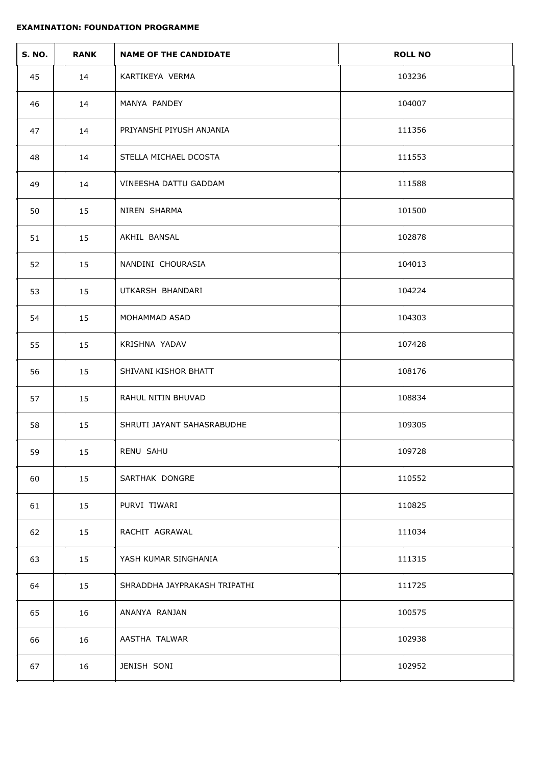| <b>S. NO.</b> | <b>RANK</b> | <b>NAME OF THE CANDIDATE</b> | <b>ROLL NO</b> |
|---------------|-------------|------------------------------|----------------|
| 45            | 14          | KARTIKEYA VERMA              | 103236         |
| 46            | 14          | MANYA PANDEY                 | 104007         |
| 47            | 14          | PRIYANSHI PIYUSH ANJANIA     | 111356         |
| 48            | 14          | STELLA MICHAEL DCOSTA        | 111553         |
| 49            | 14          | VINEESHA DATTU GADDAM        | 111588         |
| 50            | 15          | NIREN SHARMA                 | 101500         |
| 51            | 15          | AKHIL BANSAL                 | 102878         |
| 52            | 15          | NANDINI CHOURASIA            | 104013         |
| 53            | 15          | UTKARSH BHANDARI             | 104224         |
| 54            | 15          | MOHAMMAD ASAD                | 104303         |
| 55            | 15          | KRISHNA YADAV                | 107428         |
| 56            | 15          | SHIVANI KISHOR BHATT         | 108176         |
| 57            | 15          | RAHUL NITIN BHUVAD           | 108834         |
| 58            | 15          | SHRUTI JAYANT SAHASRABUDHE   | 109305         |
| 59            | 15          | RENU SAHU                    | 109728         |
| 60            | 15          | SARTHAK DONGRE               | 110552         |
| 61            | 15          | PURVI TIWARI                 | 110825         |
| 62            | 15          | RACHIT AGRAWAL               | 111034         |
| 63            | 15          | YASH KUMAR SINGHANIA         | 111315         |
| 64            | 15          | SHRADDHA JAYPRAKASH TRIPATHI | 111725         |
| 65            | 16          | ANANYA RANJAN                | 100575         |
| 66            | 16          | AASTHA TALWAR                | 102938         |
| 67            | 16          | JENISH SONI                  | 102952         |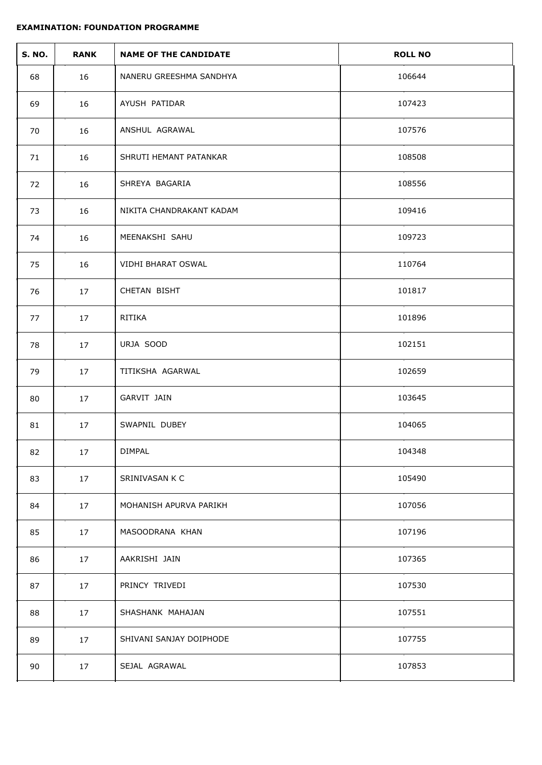| <b>S. NO.</b> | <b>RANK</b> | <b>NAME OF THE CANDIDATE</b> | <b>ROLL NO</b> |
|---------------|-------------|------------------------------|----------------|
| 68            | 16          | NANERU GREESHMA SANDHYA      | 106644         |
| 69            | 16          | AYUSH PATIDAR                | 107423         |
| 70            | 16          | ANSHUL AGRAWAL               | 107576         |
| 71            | 16          | SHRUTI HEMANT PATANKAR       | 108508         |
| 72            | 16          | SHREYA BAGARIA               | 108556         |
| 73            | 16          | NIKITA CHANDRAKANT KADAM     | 109416         |
| 74            | 16          | MEENAKSHI SAHU               | 109723         |
| 75            | 16          | VIDHI BHARAT OSWAL           | 110764         |
| 76            | 17          | CHETAN BISHT                 | 101817         |
| 77            | 17          | RITIKA                       | 101896         |
| 78            | 17          | URJA SOOD                    | 102151         |
| 79            | 17          | TITIKSHA AGARWAL             | 102659         |
| 80            | 17          | GARVIT JAIN                  | 103645         |
| 81            | 17          | SWAPNIL DUBEY                | 104065         |
| 82            | 17          | <b>DIMPAL</b>                | 104348         |
| 83            | 17          | SRINIVASAN K C               | 105490         |
| 84            | 17          | MOHANISH APURVA PARIKH       | 107056         |
| 85            | 17          | MASOODRANA KHAN              | 107196         |
| 86            | 17          | AAKRISHI JAIN                | 107365         |
| 87            | 17          | PRINCY TRIVEDI               | 107530         |
| 88            | 17          | SHASHANK MAHAJAN             | 107551         |
| 89            | 17          | SHIVANI SANJAY DOIPHODE      | 107755         |
| 90            | 17          | SEJAL AGRAWAL                | 107853         |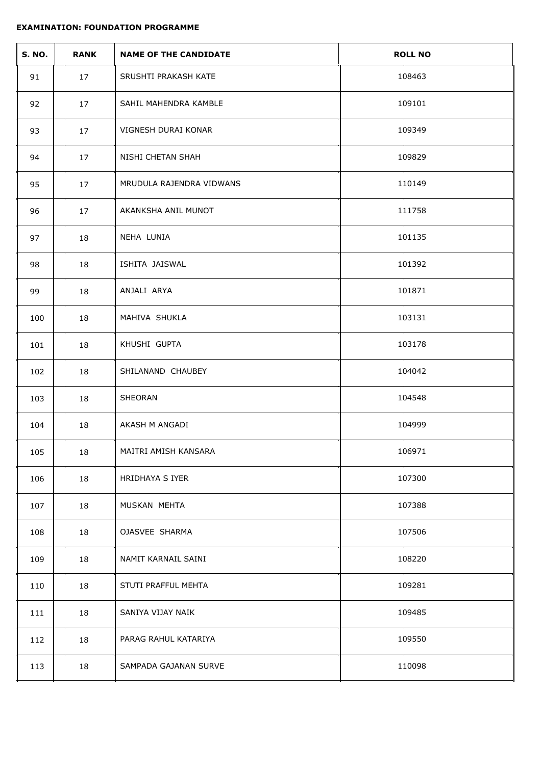| <b>S. NO.</b> | <b>RANK</b> | <b>NAME OF THE CANDIDATE</b> | <b>ROLL NO</b> |
|---------------|-------------|------------------------------|----------------|
| 91            | 17          | SRUSHTI PRAKASH KATE         | 108463         |
| 92            | 17          | SAHIL MAHENDRA KAMBLE        | 109101         |
| 93            | 17          | VIGNESH DURAI KONAR          | 109349         |
| 94            | 17          | NISHI CHETAN SHAH            | 109829         |
| 95            | 17          | MRUDULA RAJENDRA VIDWANS     | 110149         |
| 96            | 17          | AKANKSHA ANIL MUNOT          | 111758         |
| 97            | 18          | NEHA LUNIA                   | 101135         |
| 98            | 18          | ISHITA JAISWAL               | 101392         |
| 99            | 18          | ANJALI ARYA                  | 101871         |
| 100           | 18          | MAHIVA SHUKLA                | 103131         |
| 101           | 18          | KHUSHI GUPTA                 | 103178         |
| 102           | 18          | SHILANAND CHAUBEY            | 104042         |
| 103           | 18          | SHEORAN                      | 104548         |
| 104           | 18          | AKASH M ANGADI               | 104999         |
| 105           | 18          | MAITRI AMISH KANSARA         | 106971         |
| 106           | 18          | HRIDHAYA S IYER              | 107300         |
| 107           | 18          | MUSKAN MEHTA                 | 107388         |
| 108           | 18          | OJASVEE SHARMA               | 107506         |
| 109           | 18          | NAMIT KARNAIL SAINI          | 108220         |
| 110           | 18          | STUTI PRAFFUL MEHTA          | 109281         |
| 111           | 18          | SANIYA VIJAY NAIK            | 109485         |
| 112           | 18          | PARAG RAHUL KATARIYA         | 109550         |
| 113           | 18          | SAMPADA GAJANAN SURVE        | 110098         |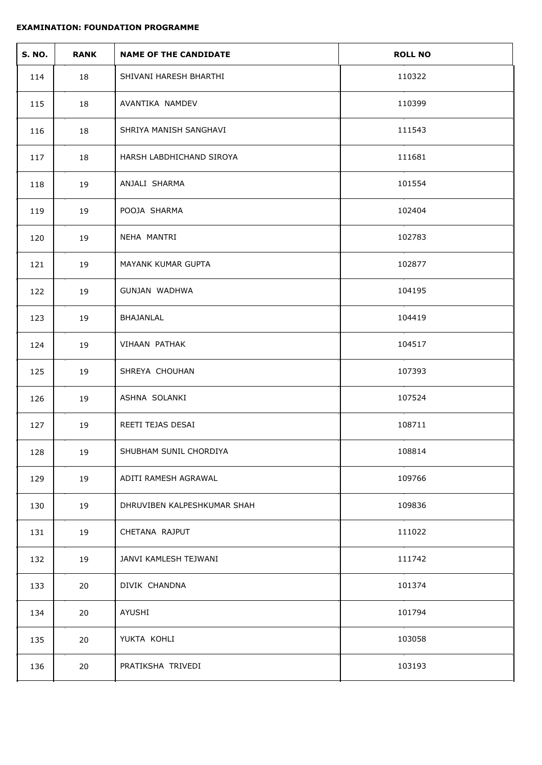| <b>S. NO.</b> | <b>RANK</b> | <b>NAME OF THE CANDIDATE</b> | <b>ROLL NO</b> |
|---------------|-------------|------------------------------|----------------|
| 114           | 18          | SHIVANI HARESH BHARTHI       | 110322         |
| 115           | 18          | AVANTIKA NAMDEV              | 110399         |
| 116           | 18          | SHRIYA MANISH SANGHAVI       | 111543         |
| 117           | 18          | HARSH LABDHICHAND SIROYA     | 111681         |
| 118           | 19          | ANJALI SHARMA                | 101554         |
| 119           | 19          | POOJA SHARMA                 | 102404         |
| 120           | 19          | NEHA MANTRI                  | 102783         |
| 121           | 19          | MAYANK KUMAR GUPTA           | 102877         |
| 122           | 19          | GUNJAN WADHWA                | 104195         |
| 123           | 19          | BHAJANLAL                    | 104419         |
| 124           | 19          | VIHAAN PATHAK                | 104517         |
| 125           | 19          | SHREYA CHOUHAN               | 107393         |
| 126           | 19          | ASHNA SOLANKI                | 107524         |
| 127           | 19          | REETI TEJAS DESAI            | 108711         |
| 128           | 19          | SHUBHAM SUNIL CHORDIYA       | 108814         |
| 129           | 19          | ADITI RAMESH AGRAWAL         | 109766         |
| 130           | 19          | DHRUVIBEN KALPESHKUMAR SHAH  | 109836         |
| 131           | 19          | CHETANA RAJPUT               | 111022         |
| 132           | 19          | JANVI KAMLESH TEJWANI        | 111742         |
| 133           | 20          | DIVIK CHANDNA                | 101374         |
| 134           | 20          | AYUSHI                       | 101794         |
| 135           | 20          | YUKTA KOHLI                  | 103058         |
| 136           | 20          | PRATIKSHA TRIVEDI            | 103193         |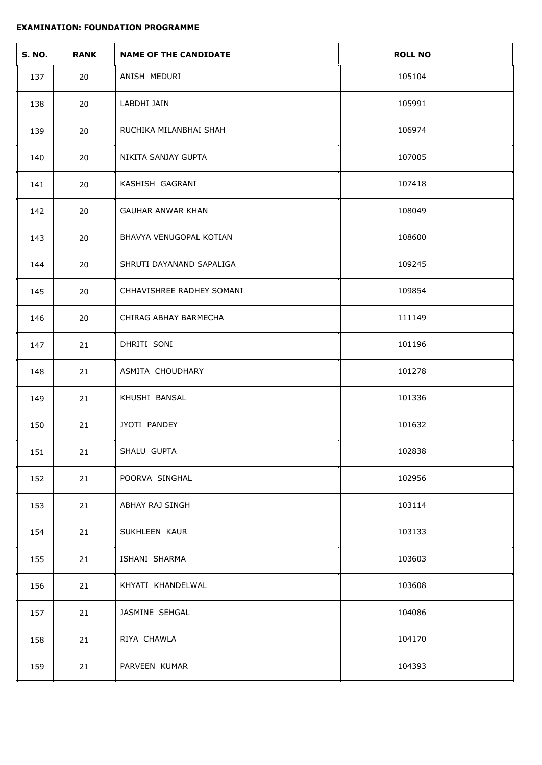| <b>S. NO.</b> | <b>RANK</b> | <b>NAME OF THE CANDIDATE</b> | <b>ROLL NO</b> |
|---------------|-------------|------------------------------|----------------|
| 137           | 20          | ANISH MEDURI                 | 105104         |
| 138           | 20          | LABDHI JAIN                  | 105991         |
| 139           | 20          | RUCHIKA MILANBHAI SHAH       | 106974         |
| 140           | 20          | NIKITA SANJAY GUPTA          | 107005         |
| 141           | 20          | KASHISH GAGRANI              | 107418         |
| 142           | 20          | <b>GAUHAR ANWAR KHAN</b>     | 108049         |
| 143           | 20          | BHAVYA VENUGOPAL KOTIAN      | 108600         |
| 144           | 20          | SHRUTI DAYANAND SAPALIGA     | 109245         |
| 145           | 20          | CHHAVISHREE RADHEY SOMANI    | 109854         |
| 146           | 20          | CHIRAG ABHAY BARMECHA        | 111149         |
| 147           | 21          | DHRITI SONI                  | 101196         |
| 148           | 21          | ASMITA CHOUDHARY             | 101278         |
| 149           | 21          | KHUSHI BANSAL                | 101336         |
| 150           | 21          | JYOTI PANDEY                 | 101632         |
| 151           | 21          | SHALU GUPTA                  | 102838         |
| 152           | 21          | POORVA SINGHAL               | 102956         |
| 153           | 21          | ABHAY RAJ SINGH              | 103114         |
| 154           | 21          | SUKHLEEN KAUR                | 103133         |
| 155           | 21          | ISHANI SHARMA                | 103603         |
| 156           | 21          | KHYATI KHANDELWAL            | 103608         |
| 157           | 21          | JASMINE SEHGAL               | 104086         |
| 158           | 21          | RIYA CHAWLA                  | 104170         |
| 159           | 21          | PARVEEN KUMAR                | 104393         |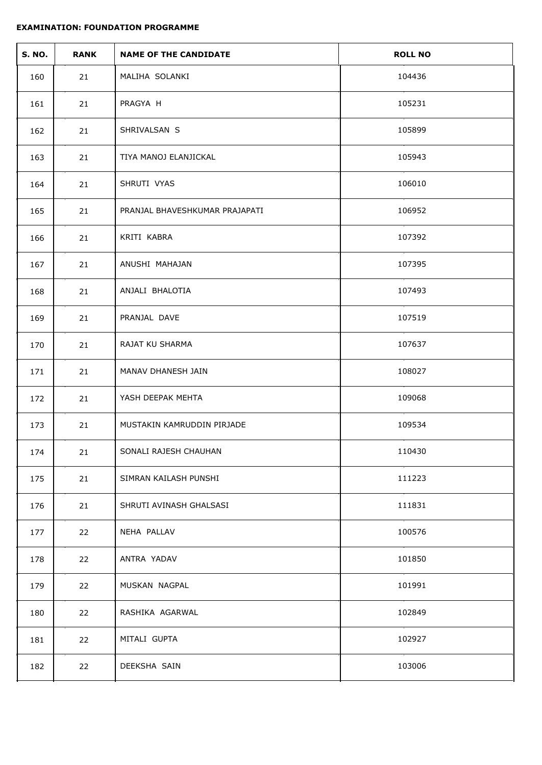| <b>S. NO.</b> | <b>RANK</b> | <b>NAME OF THE CANDIDATE</b>   | <b>ROLL NO</b> |
|---------------|-------------|--------------------------------|----------------|
| 160           | 21          | MALIHA SOLANKI                 | 104436         |
| 161           | 21          | PRAGYA H                       | 105231         |
| 162           | 21          | SHRIVALSAN S                   | 105899         |
| 163           | 21          | TIYA MANOJ ELANJICKAL          | 105943         |
| 164           | 21          | SHRUTI VYAS                    | 106010         |
| 165           | 21          | PRANJAL BHAVESHKUMAR PRAJAPATI | 106952         |
| 166           | 21          | KRITI KABRA                    | 107392         |
| 167           | 21          | ANUSHI MAHAJAN                 | 107395         |
| 168           | 21          | ANJALI BHALOTIA                | 107493         |
| 169           | 21          | PRANJAL DAVE                   | 107519         |
| 170           | 21          | RAJAT KU SHARMA                | 107637         |
| 171           | 21          | MANAV DHANESH JAIN             | 108027         |
| 172           | 21          | YASH DEEPAK MEHTA              | 109068         |
| 173           | 21          | MUSTAKIN KAMRUDDIN PIRJADE     | 109534         |
| 174           | 21          | SONALI RAJESH CHAUHAN          | 110430         |
| 175           | 21          | SIMRAN KAILASH PUNSHI          | 111223         |
| 176           | 21          | SHRUTI AVINASH GHALSASI        | 111831         |
| 177           | 22          | NEHA PALLAV                    | 100576         |
| 178           | 22          | ANTRA YADAV                    | 101850         |
| 179           | 22          | MUSKAN NAGPAL                  | 101991         |
| 180           | 22          | RASHIKA AGARWAL                | 102849         |
| 181           | 22          | MITALI GUPTA                   | 102927         |
| 182           | 22          | DEEKSHA SAIN                   | 103006         |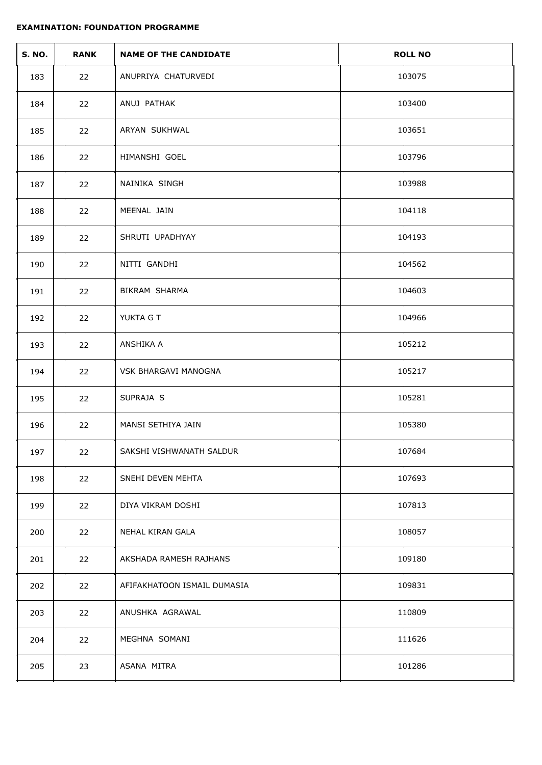| <b>S. NO.</b> | <b>RANK</b> | <b>NAME OF THE CANDIDATE</b> | <b>ROLL NO</b> |
|---------------|-------------|------------------------------|----------------|
| 183           | 22          | ANUPRIYA CHATURVEDI          | 103075         |
| 184           | 22          | ANUJ PATHAK                  | 103400         |
| 185           | 22          | ARYAN SUKHWAL                | 103651         |
| 186           | 22          | HIMANSHI GOEL                | 103796         |
| 187           | 22          | NAINIKA SINGH                | 103988         |
| 188           | 22          | MEENAL JAIN                  | 104118         |
| 189           | 22          | SHRUTI UPADHYAY              | 104193         |
| 190           | 22          | NITTI GANDHI                 | 104562         |
| 191           | 22          | BIKRAM SHARMA                | 104603         |
| 192           | 22          | YUKTA G T                    | 104966         |
| 193           | 22          | ANSHIKA A                    | 105212         |
| 194           | 22          | VSK BHARGAVI MANOGNA         | 105217         |
| 195           | 22          | SUPRAJA S                    | 105281         |
| 196           | 22          | MANSI SETHIYA JAIN           | 105380         |
| 197           | 22          | SAKSHI VISHWANATH SALDUR     | 107684         |
| 198           | 22          | SNEHI DEVEN MEHTA            | 107693         |
| 199           | 22          | DIYA VIKRAM DOSHI            | 107813         |
| 200           | 22          | NEHAL KIRAN GALA             | 108057         |
| 201           | 22          | AKSHADA RAMESH RAJHANS       | 109180         |
| 202           | 22          | AFIFAKHATOON ISMAIL DUMASIA  | 109831         |
| 203           | 22          | ANUSHKA AGRAWAL              | 110809         |
| 204           | 22          | MEGHNA SOMANI                | 111626         |
| 205           | 23          | ASANA MITRA                  | 101286         |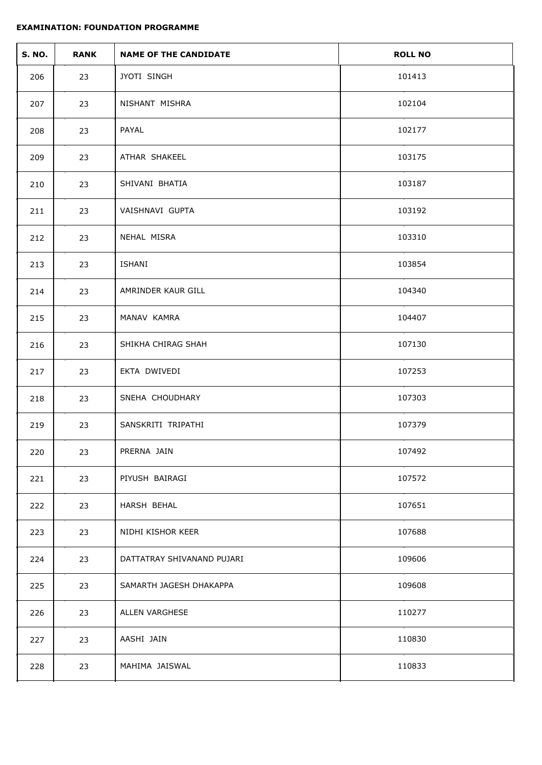| <b>S. NO.</b> | <b>RANK</b> | <b>NAME OF THE CANDIDATE</b> | <b>ROLL NO</b> |
|---------------|-------------|------------------------------|----------------|
| 206           | 23          | JYOTI SINGH                  | 101413         |
| 207           | 23          | NISHANT MISHRA               | 102104         |
| 208           | 23          | PAYAL                        | 102177         |
| 209           | 23          | ATHAR SHAKEEL                | 103175         |
| 210           | 23          | SHIVANI BHATIA               | 103187         |
| 211           | 23          | VAISHNAVI GUPTA              | 103192         |
| 212           | 23          | NEHAL MISRA                  | 103310         |
| 213           | 23          | ISHANI                       | 103854         |
| 214           | 23          | AMRINDER KAUR GILL           | 104340         |
| 215           | 23          | MANAV KAMRA                  | 104407         |
| 216           | 23          | SHIKHA CHIRAG SHAH           | 107130         |
| 217           | 23          | EKTA DWIVEDI                 | 107253         |
| 218           | 23          | SNEHA CHOUDHARY              | 107303         |
| 219           | 23          | SANSKRITI TRIPATHI           | 107379         |
| 220           | 23          | PRERNA JAIN                  | 107492         |
| 221           | 23          | PIYUSH BAIRAGI               | 107572         |
| 222           | 23          | HARSH BEHAL                  | 107651         |
| 223           | 23          | NIDHI KISHOR KEER            | 107688         |
| 224           | 23          | DATTATRAY SHIVANAND PUJARI   | 109606         |
| 225           | 23          | SAMARTH JAGESH DHAKAPPA      | 109608         |
| 226           | 23          | ALLEN VARGHESE               | 110277         |
| 227           | 23          | AASHI JAIN                   | 110830         |
| 228           | 23          | MAHIMA JAISWAL               | 110833         |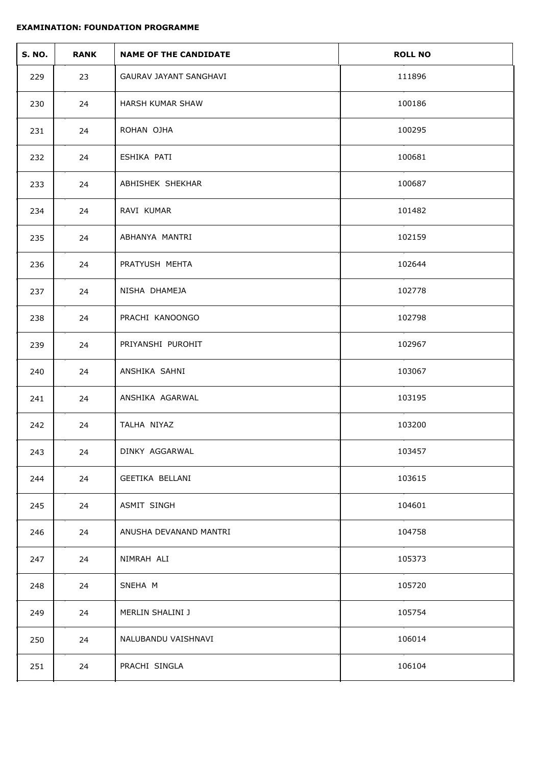| <b>S. NO.</b> | <b>RANK</b> | <b>NAME OF THE CANDIDATE</b>  | <b>ROLL NO</b> |
|---------------|-------------|-------------------------------|----------------|
| 229           | 23          | <b>GAURAV JAYANT SANGHAVI</b> | 111896         |
| 230           | 24          | HARSH KUMAR SHAW              | 100186         |
| 231           | 24          | ROHAN OJHA                    | 100295         |
| 232           | 24          | ESHIKA PATI                   | 100681         |
| 233           | 24          | ABHISHEK SHEKHAR              | 100687         |
| 234           | 24          | RAVI KUMAR                    | 101482         |
| 235           | 24          | ABHANYA MANTRI                | 102159         |
| 236           | 24          | PRATYUSH MEHTA                | 102644         |
| 237           | 24          | NISHA DHAMEJA                 | 102778         |
| 238           | 24          | PRACHI KANOONGO               | 102798         |
| 239           | 24          | PRIYANSHI PUROHIT             | 102967         |
| 240           | 24          | ANSHIKA SAHNI                 | 103067         |
| 241           | 24          | ANSHIKA AGARWAL               | 103195         |
| 242           | 24          | TALHA NIYAZ                   | 103200         |
| 243           | 24          | DINKY AGGARWAL                | 103457         |
| 244           | 24          | GEETIKA BELLANI               | 103615         |
| 245           | 24          | ASMIT SINGH                   | 104601         |
| 246           | 24          | ANUSHA DEVANAND MANTRI        | 104758         |
| 247           | 24          | NIMRAH ALI                    | 105373         |
| 248           | 24          | SNEHA M                       | 105720         |
| 249           | 24          | MERLIN SHALINI J              | 105754         |
| 250           | 24          | NALUBANDU VAISHNAVI           | 106014         |
| 251           | 24          | PRACHI SINGLA                 | 106104         |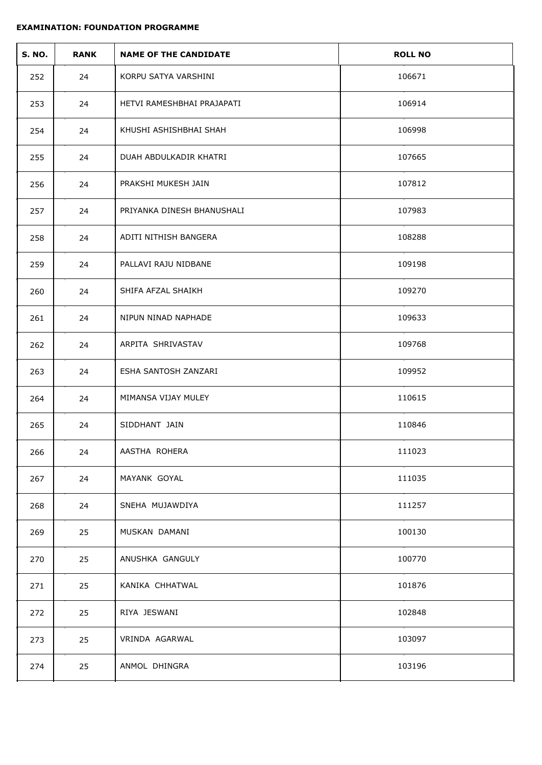| <b>S. NO.</b> | <b>RANK</b> | <b>NAME OF THE CANDIDATE</b> | <b>ROLL NO</b> |
|---------------|-------------|------------------------------|----------------|
| 252           | 24          | KORPU SATYA VARSHINI         | 106671         |
| 253           | 24          | HETVI RAMESHBHAI PRAJAPATI   | 106914         |
| 254           | 24          | KHUSHI ASHISHBHAI SHAH       | 106998         |
| 255           | 24          | DUAH ABDULKADIR KHATRI       | 107665         |
| 256           | 24          | PRAKSHI MUKESH JAIN          | 107812         |
| 257           | 24          | PRIYANKA DINESH BHANUSHALI   | 107983         |
| 258           | 24          | ADITI NITHISH BANGERA        | 108288         |
| 259           | 24          | PALLAVI RAJU NIDBANE         | 109198         |
| 260           | 24          | SHIFA AFZAL SHAIKH           | 109270         |
| 261           | 24          | NIPUN NINAD NAPHADE          | 109633         |
| 262           | 24          | ARPITA SHRIVASTAV            | 109768         |
| 263           | 24          | ESHA SANTOSH ZANZARI         | 109952         |
| 264           | 24          | MIMANSA VIJAY MULEY          | 110615         |
| 265           | 24          | SIDDHANT JAIN                | 110846         |
| 266           | 24          | AASTHA ROHERA                | 111023         |
| 267           | 24          | MAYANK GOYAL                 | 111035         |
| 268           | 24          | SNEHA MUJAWDIYA              | 111257         |
| 269           | 25          | MUSKAN DAMANI                | 100130         |
| 270           | 25          | ANUSHKA GANGULY              | 100770         |
| 271           | 25          | KANIKA CHHATWAL              | 101876         |
| 272           | 25          | RIYA JESWANI                 | 102848         |
| 273           | 25          | VRINDA AGARWAL               | 103097         |
| 274           | 25          | ANMOL DHINGRA                | 103196         |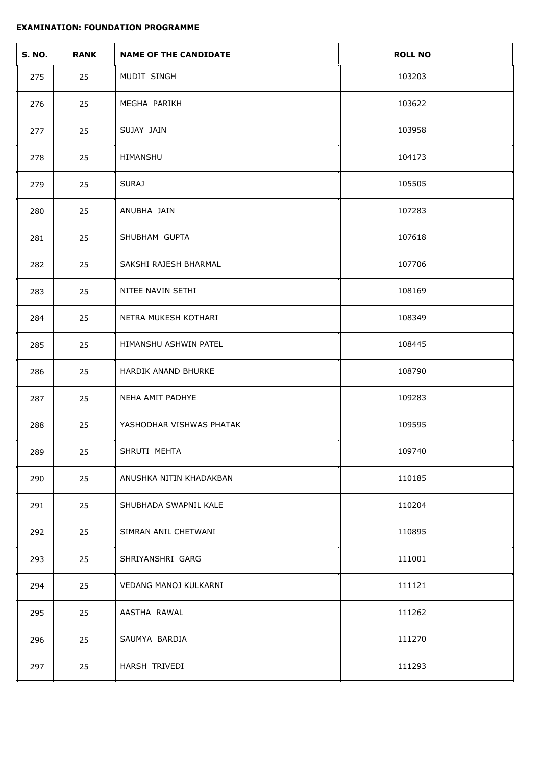| <b>S. NO.</b> | <b>RANK</b> | <b>NAME OF THE CANDIDATE</b> | <b>ROLL NO</b> |
|---------------|-------------|------------------------------|----------------|
| 275           | 25          | MUDIT SINGH                  | 103203         |
| 276           | 25          | MEGHA PARIKH                 | 103622         |
| 277           | 25          | SUJAY JAIN                   | 103958         |
| 278           | 25          | HIMANSHU                     | 104173         |
| 279           | 25          | <b>SURAJ</b>                 | 105505         |
| 280           | 25          | ANUBHA JAIN                  | 107283         |
| 281           | 25          | SHUBHAM GUPTA                | 107618         |
| 282           | 25          | SAKSHI RAJESH BHARMAL        | 107706         |
| 283           | 25          | NITEE NAVIN SETHI            | 108169         |
| 284           | 25          | NETRA MUKESH KOTHARI         | 108349         |
| 285           | 25          | HIMANSHU ASHWIN PATEL        | 108445         |
| 286           | 25          | HARDIK ANAND BHURKE          | 108790         |
| 287           | 25          | NEHA AMIT PADHYE             | 109283         |
| 288           | 25          | YASHODHAR VISHWAS PHATAK     | 109595         |
| 289           | 25          | SHRUTI MEHTA                 | 109740         |
| 290           | 25          | ANUSHKA NITIN KHADAKBAN      | 110185         |
| 291           | 25          | SHUBHADA SWAPNIL KALE        | 110204         |
| 292           | 25          | SIMRAN ANIL CHETWANI         | 110895         |
| 293           | 25          | SHRIYANSHRI GARG             | 111001         |
| 294           | 25          | VEDANG MANOJ KULKARNI        | 111121         |
| 295           | 25          | AASTHA RAWAL                 | 111262         |
| 296           | 25          | SAUMYA BARDIA                | 111270         |
| 297           | 25          | HARSH TRIVEDI                | 111293         |